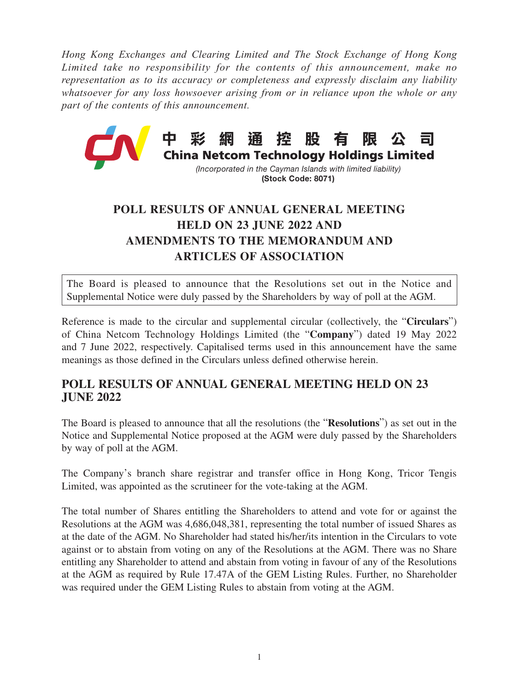*Hong Kong Exchanges and Clearing Limited and The Stock Exchange of Hong Kong Limited take no responsibility for the contents of this announcement, make no representation as to its accuracy or completeness and expressly disclaim any liability whatsoever for any loss howsoever arising from or in reliance upon the whole or any part of the contents of this announcement.*



## (Stock Code: 8071)

## **POLL RESULTS OF ANNUAL GENERAL MEETING HELD ON 23 JUNE 2022 AND AMENDMENTS TO THE MEMORANDUM AND ARTICLES OF ASSOCIATION**

The Board is pleased to announce that the Resolutions set out in the Notice and Supplemental Notice were duly passed by the Shareholders by way of poll at the AGM.

Reference is made to the circular and supplemental circular (collectively, the "**Circulars**") of China Netcom Technology Holdings Limited (the "**Company**") dated 19 May 2022 and 7 June 2022, respectively. Capitalised terms used in this announcement have the same meanings as those defined in the Circulars unless defined otherwise herein.

## **POLL RESULTS OF ANNUAL GENERAL MEETING HELD ON 23 JUNE 2022**

The Board is pleased to announce that all the resolutions (the "**Resolutions**") as set out in the Notice and Supplemental Notice proposed at the AGM were duly passed by the Shareholders by way of poll at the AGM.

The Company's branch share registrar and transfer office in Hong Kong, Tricor Tengis Limited, was appointed as the scrutineer for the vote-taking at the AGM.

The total number of Shares entitling the Shareholders to attend and vote for or against the Resolutions at the AGM was 4,686,048,381, representing the total number of issued Shares as at the date of the AGM. No Shareholder had stated his/her/its intention in the Circulars to vote against or to abstain from voting on any of the Resolutions at the AGM. There was no Share entitling any Shareholder to attend and abstain from voting in favour of any of the Resolutions at the AGM as required by Rule 17.47A of the GEM Listing Rules. Further, no Shareholder was required under the GEM Listing Rules to abstain from voting at the AGM.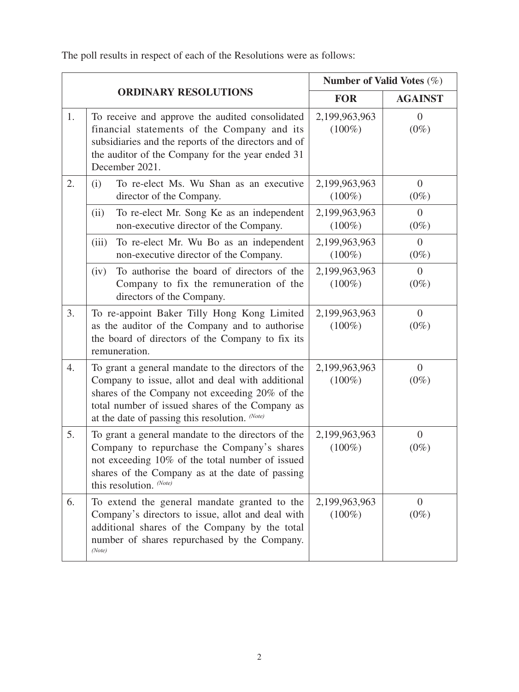The poll results in respect of each of the Resolutions were as follows:

|    |                                                                                                                                                                                                                                                               | Number of Valid Votes $(\%)$ |                           |
|----|---------------------------------------------------------------------------------------------------------------------------------------------------------------------------------------------------------------------------------------------------------------|------------------------------|---------------------------|
|    | <b>ORDINARY RESOLUTIONS</b>                                                                                                                                                                                                                                   | <b>FOR</b>                   | <b>AGAINST</b>            |
| 1. | To receive and approve the audited consolidated<br>financial statements of the Company and its<br>subsidiaries and the reports of the directors and of<br>the auditor of the Company for the year ended 31<br>December 2021.                                  | 2,199,963,963<br>$(100\%)$   | $\overline{0}$<br>$(0\%)$ |
| 2. | To re-elect Ms. Wu Shan as an executive<br>(i)<br>director of the Company.                                                                                                                                                                                    | 2,199,963,963<br>$(100\%)$   | $\overline{0}$<br>$(0\%)$ |
|    | To re-elect Mr. Song Ke as an independent<br>(ii)<br>non-executive director of the Company.                                                                                                                                                                   | 2,199,963,963<br>$(100\%)$   | $\overline{0}$<br>$(0\%)$ |
|    | To re-elect Mr. Wu Bo as an independent<br>(iii)<br>non-executive director of the Company.                                                                                                                                                                    | 2,199,963,963<br>$(100\%)$   | $\overline{0}$<br>$(0\%)$ |
|    | To authorise the board of directors of the<br>(iv)<br>Company to fix the remuneration of the<br>directors of the Company.                                                                                                                                     | 2,199,963,963<br>$(100\%)$   | $\overline{0}$<br>$(0\%)$ |
| 3. | To re-appoint Baker Tilly Hong Kong Limited<br>as the auditor of the Company and to authorise<br>the board of directors of the Company to fix its<br>remuneration.                                                                                            | 2,199,963,963<br>$(100\%)$   | $\overline{0}$<br>$(0\%)$ |
| 4. | To grant a general mandate to the directors of the<br>Company to issue, allot and deal with additional<br>shares of the Company not exceeding 20% of the<br>total number of issued shares of the Company as<br>at the date of passing this resolution. (Note) | 2,199,963,963<br>$(100\%)$   | $\overline{0}$<br>$(0\%)$ |
| 5. | To grant a general mandate to the directors of the<br>Company to repurchase the Company's shares<br>not exceeding 10% of the total number of issued<br>shares of the Company as at the date of passing<br>this resolution. (Note)                             | 2,199,963,963<br>$(100\%)$   | $\overline{0}$<br>$(0\%)$ |
| 6. | To extend the general mandate granted to the<br>Company's directors to issue, allot and deal with<br>additional shares of the Company by the total<br>number of shares repurchased by the Company.<br>(Note)                                                  | 2,199,963,963<br>$(100\%)$   | $\overline{0}$<br>$(0\%)$ |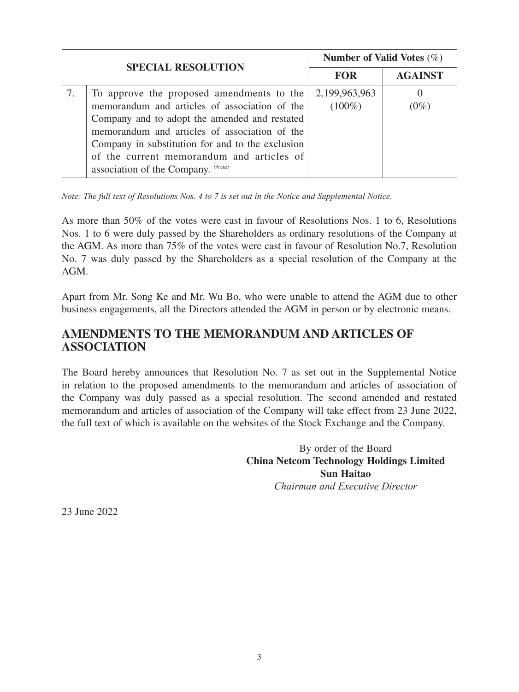| <b>SPECIAL RESOLUTION</b>                                                                                                                                                                                                                                                                                                           | Number of Valid Votes $(\%)$ |                |
|-------------------------------------------------------------------------------------------------------------------------------------------------------------------------------------------------------------------------------------------------------------------------------------------------------------------------------------|------------------------------|----------------|
|                                                                                                                                                                                                                                                                                                                                     | <b>FOR</b>                   | <b>AGAINST</b> |
| To approve the proposed amendments to the<br>memorandum and articles of association of the<br>Company and to adopt the amended and restated<br>memorandum and articles of association of the<br>Company in substitution for and to the exclusion<br>of the current memorandum and articles of<br>association of the Company. (Note) | 2,199,963,963<br>$(100\%)$   | $(0\%)$        |

*Note: The full text of Resolutions Nos. 4 to 7 is set out in the Notice and Supplemental Notice.* 

As more than 50% of the votes were cast in favour of Resolutions Nos. 1 to 6, Resolutions Nos. 1 to 6 were duly passed by the Shareholders as ordinary resolutions of the Company at the AGM. As more than 75% of the votes were cast in favour of Resolution No.7, Resolution No. 7 was duly passed by the Shareholders as a special resolution of the Company at the AGM.

Apart from Mr. Song Ke and Mr. Wu Bo, who were unable to attend the AGM due to other business engagements, all the Directors attended the AGM in person or by electronic means.

## **AMENDMENTS TO THE MEMORANDUM AND ARTICLES OF ASSOCIATION**

The Board hereby announces that Resolution No. 7 as set out in the Supplemental Notice in relation to the proposed amendments to the memorandum and articles of association of the Company was duly passed as a special resolution. The second amended and restated memorandum and articles of association of the Company will take effect from 23 June 2022, the full text of which is available on the websites of the Stock Exchange and the Company.

> By order of the Board **China Netcom Technology Holdings Limited Sun Haitao** *Chairman and Executive Director*

23 June 2022